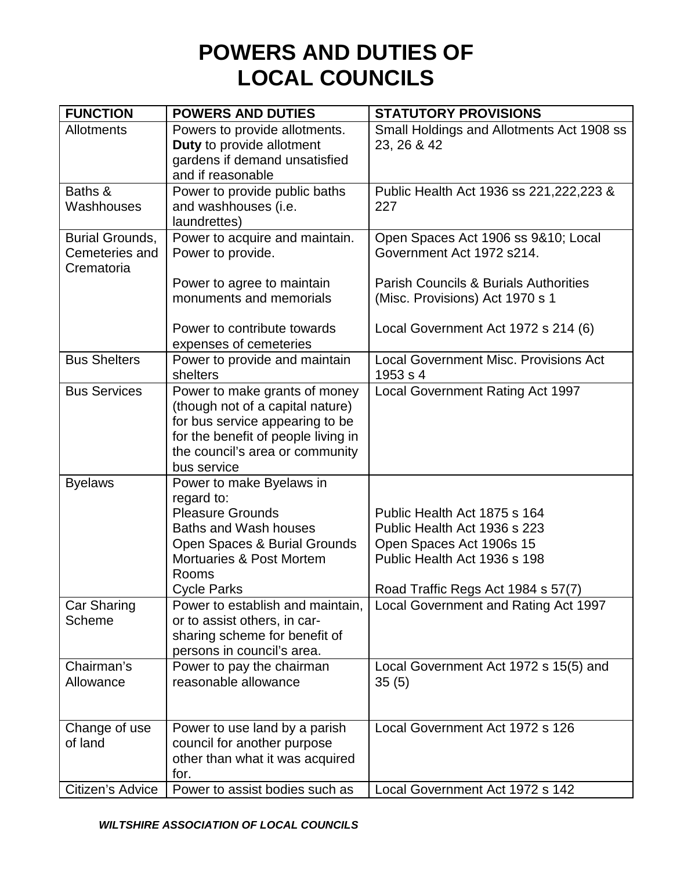## **POWERS AND DUTIES OF LOCAL COUNCILS**

| <b>FUNCTION</b>        | <b>POWERS AND DUTIES</b>                                          | <b>STATUTORY PROVISIONS</b>                              |
|------------------------|-------------------------------------------------------------------|----------------------------------------------------------|
| <b>Allotments</b>      | Powers to provide allotments.                                     | Small Holdings and Allotments Act 1908 ss                |
|                        | Duty to provide allotment                                         | 23, 26 & 42                                              |
|                        | gardens if demand unsatisfied                                     |                                                          |
|                        | and if reasonable                                                 |                                                          |
| Baths &                | Power to provide public baths                                     | Public Health Act 1936 ss 221, 222, 223 &                |
| Washhouses             | and washhouses (i.e.<br>laundrettes)                              | 227                                                      |
| <b>Burial Grounds,</b> | Power to acquire and maintain.                                    | Open Spaces Act 1906 ss 9&10; Local                      |
| Cemeteries and         | Power to provide.                                                 | Government Act 1972 s214.                                |
| Crematoria             |                                                                   |                                                          |
|                        | Power to agree to maintain                                        | <b>Parish Councils &amp; Burials Authorities</b>         |
|                        | monuments and memorials                                           | (Misc. Provisions) Act 1970 s 1                          |
|                        |                                                                   |                                                          |
|                        | Power to contribute towards                                       | Local Government Act 1972 s 214 (6)                      |
|                        | expenses of cemeteries                                            |                                                          |
| <b>Bus Shelters</b>    | Power to provide and maintain                                     | <b>Local Government Misc. Provisions Act</b>             |
|                        | shelters                                                          | 1953 s 4                                                 |
| <b>Bus Services</b>    | Power to make grants of money<br>(though not of a capital nature) | Local Government Rating Act 1997                         |
|                        | for bus service appearing to be                                   |                                                          |
|                        | for the benefit of people living in                               |                                                          |
|                        | the council's area or community                                   |                                                          |
|                        | bus service                                                       |                                                          |
| <b>Byelaws</b>         | Power to make Byelaws in                                          |                                                          |
|                        | regard to:                                                        |                                                          |
|                        | <b>Pleasure Grounds</b>                                           | Public Health Act 1875 s 164                             |
|                        | <b>Baths and Wash houses</b>                                      | Public Health Act 1936 s 223                             |
|                        | Open Spaces & Burial Grounds<br>Mortuaries & Post Mortem          | Open Spaces Act 1906s 15<br>Public Health Act 1936 s 198 |
|                        | Rooms                                                             |                                                          |
|                        | <b>Cycle Parks</b>                                                | Road Traffic Regs Act 1984 s 57(7)                       |
| Car Sharing            | Power to establish and maintain,                                  | Local Government and Rating Act 1997                     |
| <b>Scheme</b>          | or to assist others, in car-                                      |                                                          |
|                        | sharing scheme for benefit of                                     |                                                          |
|                        | persons in council's area.                                        |                                                          |
| Chairman's             | Power to pay the chairman                                         | Local Government Act 1972 s 15(5) and                    |
| Allowance              | reasonable allowance                                              | 35(5)                                                    |
|                        |                                                                   |                                                          |
| Change of use          | Power to use land by a parish                                     | Local Government Act 1972 s 126                          |
| of land                | council for another purpose                                       |                                                          |
|                        | other than what it was acquired                                   |                                                          |
|                        | for.                                                              |                                                          |
| Citizen's Advice       | Power to assist bodies such as                                    | Local Government Act 1972 s 142                          |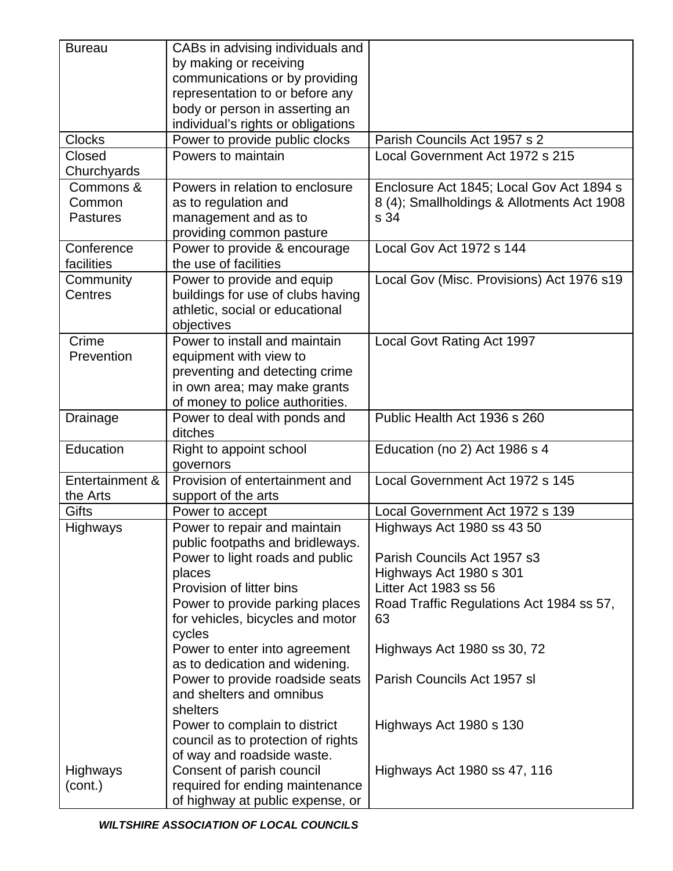| <b>Bureau</b>   | CABs in advising individuals and   |                                            |
|-----------------|------------------------------------|--------------------------------------------|
|                 | by making or receiving             |                                            |
|                 | communications or by providing     |                                            |
|                 | representation to or before any    |                                            |
|                 | body or person in asserting an     |                                            |
|                 | individual's rights or obligations |                                            |
| <b>Clocks</b>   | Power to provide public clocks     | Parish Councils Act 1957 s 2               |
| Closed          | Powers to maintain                 | Local Government Act 1972 s 215            |
| Churchyards     |                                    |                                            |
| Commons &       | Powers in relation to enclosure    | Enclosure Act 1845; Local Gov Act 1894 s   |
| Common          | as to regulation and               | 8 (4); Smallholdings & Allotments Act 1908 |
| <b>Pastures</b> | management and as to               | s 34                                       |
|                 | providing common pasture           |                                            |
| Conference      | Power to provide & encourage       | Local Gov Act 1972 s 144                   |
| facilities      | the use of facilities              |                                            |
| Community       | Power to provide and equip         | Local Gov (Misc. Provisions) Act 1976 s19  |
| Centres         | buildings for use of clubs having  |                                            |
|                 | athletic, social or educational    |                                            |
|                 | objectives                         |                                            |
| Crime           | Power to install and maintain      | Local Govt Rating Act 1997                 |
| Prevention      | equipment with view to             |                                            |
|                 | preventing and detecting crime     |                                            |
|                 | in own area; may make grants       |                                            |
|                 | of money to police authorities.    |                                            |
| Drainage        | Power to deal with ponds and       | Public Health Act 1936 s 260               |
|                 | ditches                            |                                            |
| Education       | Right to appoint school            | Education (no 2) Act 1986 s 4              |
|                 | governors                          |                                            |
| Entertainment & | Provision of entertainment and     | Local Government Act 1972 s 145            |
| the Arts        | support of the arts                |                                            |
| <b>Gifts</b>    | Power to accept                    | Local Government Act 1972 s 139            |
| Highways        | Power to repair and maintain       | Highways Act 1980 ss 43 50                 |
|                 | public footpaths and bridleways.   |                                            |
|                 | Power to light roads and public    | Parish Councils Act 1957 s3                |
|                 | places                             | Highways Act 1980 s 301                    |
|                 | Provision of litter bins           | Litter Act 1983 ss 56                      |
|                 | Power to provide parking places    | Road Traffic Regulations Act 1984 ss 57,   |
|                 | for vehicles, bicycles and motor   | 63                                         |
|                 | cycles                             |                                            |
|                 | Power to enter into agreement      | Highways Act 1980 ss 30, 72                |
|                 | as to dedication and widening.     |                                            |
|                 | Power to provide roadside seats    | Parish Councils Act 1957 sl                |
|                 | and shelters and omnibus           |                                            |
|                 | shelters                           |                                            |
|                 | Power to complain to district      | Highways Act 1980 s 130                    |
|                 | council as to protection of rights |                                            |
|                 | of way and roadside waste.         |                                            |
| <b>Highways</b> | Consent of parish council          | Highways Act 1980 ss 47, 116               |
| (cont.)         | required for ending maintenance    |                                            |
|                 | of highway at public expense, or   |                                            |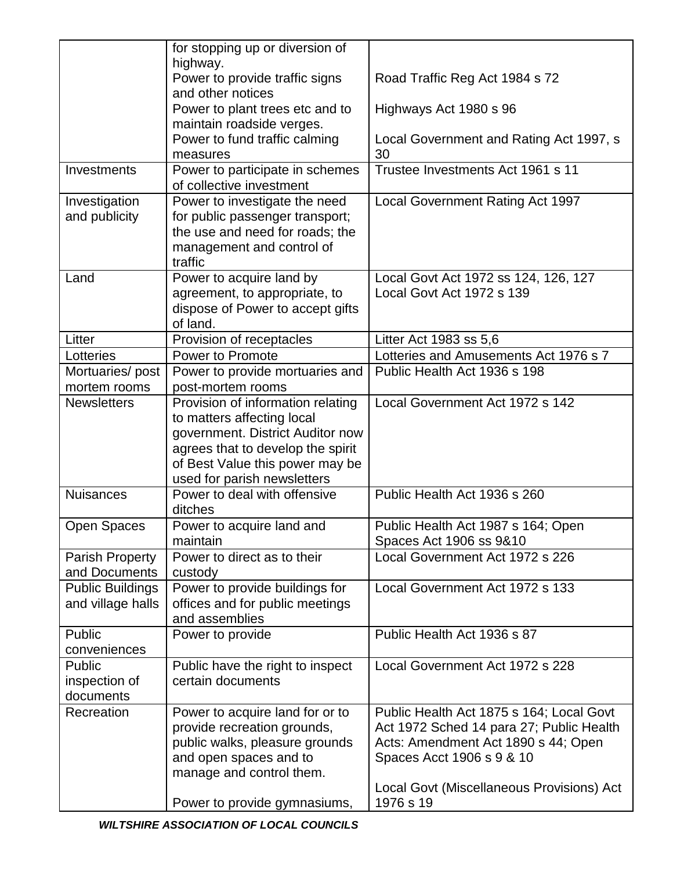|                         | for stopping up or diversion of                                 |                                           |
|-------------------------|-----------------------------------------------------------------|-------------------------------------------|
|                         | highway.                                                        |                                           |
|                         | Power to provide traffic signs<br>and other notices             | Road Traffic Reg Act 1984 s 72            |
|                         | Power to plant trees etc and to<br>maintain roadside verges.    | Highways Act 1980 s 96                    |
|                         | Power to fund traffic calming                                   | Local Government and Rating Act 1997, s   |
|                         | measures                                                        | 30                                        |
| Investments             | Power to participate in schemes                                 | Trustee Investments Act 1961 s 11         |
|                         | of collective investment                                        |                                           |
| Investigation           | Power to investigate the need                                   | <b>Local Government Rating Act 1997</b>   |
| and publicity           | for public passenger transport;                                 |                                           |
|                         | the use and need for roads; the                                 |                                           |
|                         | management and control of<br>traffic                            |                                           |
| Land                    | Power to acquire land by                                        | Local Govt Act 1972 ss 124, 126, 127      |
|                         | agreement, to appropriate, to                                   | Local Govt Act 1972 s 139                 |
|                         | dispose of Power to accept gifts                                |                                           |
|                         | of land.                                                        |                                           |
| Litter                  | Provision of receptacles                                        | Litter Act 1983 ss 5,6                    |
| Lotteries               | Power to Promote                                                | Lotteries and Amusements Act 1976 s 7     |
| Mortuaries/post         | Power to provide mortuaries and                                 | Public Health Act 1936 s 198              |
| mortem rooms            | post-mortem rooms                                               |                                           |
| <b>Newsletters</b>      | Provision of information relating<br>to matters affecting local | Local Government Act 1972 s 142           |
|                         | government. District Auditor now                                |                                           |
|                         | agrees that to develop the spirit                               |                                           |
|                         | of Best Value this power may be                                 |                                           |
|                         | used for parish newsletters                                     |                                           |
| <b>Nuisances</b>        | Power to deal with offensive<br>ditches                         | Public Health Act 1936 s 260              |
| <b>Open Spaces</b>      | Power to acquire land and                                       | Public Health Act 1987 s 164; Open        |
|                         | maintain                                                        | Spaces Act 1906 ss 9&10                   |
| <b>Parish Property</b>  | Power to direct as to their                                     | Local Government Act 1972 s 226           |
| and Documents           | custody                                                         |                                           |
| <b>Public Buildings</b> | Power to provide buildings for                                  | Local Government Act 1972 s 133           |
| and village halls       | offices and for public meetings                                 |                                           |
|                         | and assemblies                                                  |                                           |
| Public                  | Power to provide                                                | Public Health Act 1936 s 87               |
| conveniences<br>Public  | Public have the right to inspect                                | Local Government Act 1972 s 228           |
| inspection of           | certain documents                                               |                                           |
| documents               |                                                                 |                                           |
| Recreation              | Power to acquire land for or to                                 | Public Health Act 1875 s 164; Local Govt  |
|                         | provide recreation grounds,                                     | Act 1972 Sched 14 para 27; Public Health  |
|                         | public walks, pleasure grounds                                  | Acts: Amendment Act 1890 s 44; Open       |
|                         | and open spaces and to                                          | Spaces Acct 1906 s 9 & 10                 |
|                         | manage and control them.                                        |                                           |
|                         |                                                                 | Local Govt (Miscellaneous Provisions) Act |
|                         | Power to provide gymnasiums,                                    | 1976 s 19                                 |